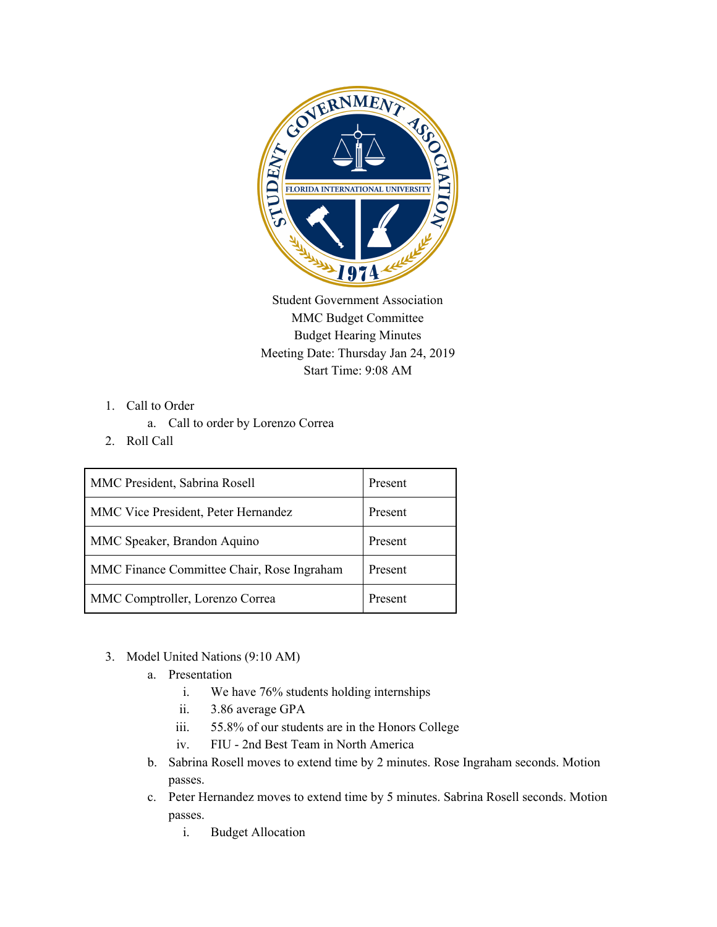

Student Government Association MMC Budget Committee Budget Hearing Minutes Meeting Date: Thursday Jan 24, 2019 Start Time: 9:08 AM

- 1. Call to Order
	- a. Call to order by Lorenzo Correa
- 2. Roll Call

| MMC President, Sabrina Rosell              | Present |
|--------------------------------------------|---------|
| MMC Vice President, Peter Hernandez        | Present |
| MMC Speaker, Brandon Aquino                | Present |
| MMC Finance Committee Chair, Rose Ingraham | Present |
| MMC Comptroller, Lorenzo Correa            | Present |

- 3. Model United Nations (9:10 AM)
	- a. Presentation
		- i. We have 76% students holding internships
		- ii. 3.86 average GPA
		- iii. 55.8% of our students are in the Honors College
		- iv. FIU 2nd Best Team in North America
	- b. Sabrina Rosell moves to extend time by 2 minutes. Rose Ingraham seconds. Motion passes.
	- c. Peter Hernandez moves to extend time by 5 minutes. Sabrina Rosell seconds. Motion passes.
		- i. Budget Allocation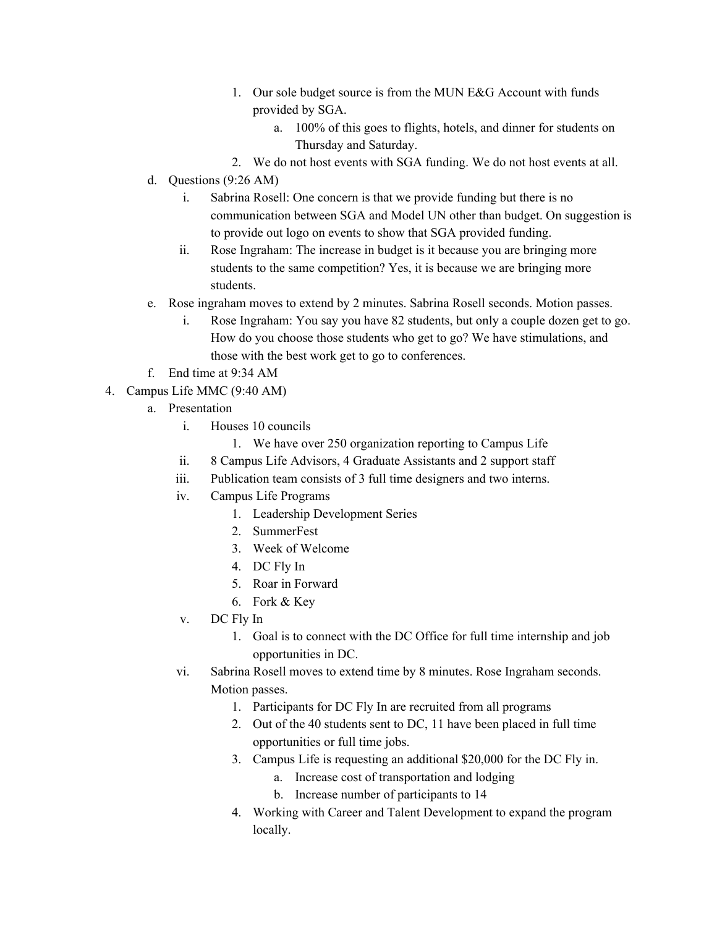- 1. Our sole budget source is from the MUN E&G Account with funds provided by SGA.
	- a. 100% of this goes to flights, hotels, and dinner for students on Thursday and Saturday.
- 2. We do not host events with SGA funding. We do not host events at all.
- d. Questions (9:26 AM)
	- i. Sabrina Rosell: One concern is that we provide funding but there is no communication between SGA and Model UN other than budget. On suggestion is to provide out logo on events to show that SGA provided funding.
	- ii. Rose Ingraham: The increase in budget is it because you are bringing more students to the same competition? Yes, it is because we are bringing more students.
- e. Rose ingraham moves to extend by 2 minutes. Sabrina Rosell seconds. Motion passes.
	- i. Rose Ingraham: You say you have 82 students, but only a couple dozen get to go. How do you choose those students who get to go? We have stimulations, and those with the best work get to go to conferences.
- f. End time at 9:34 AM
- 4. Campus Life MMC (9:40 AM)
	- a. Presentation
		- i. Houses 10 councils
			- 1. We have over 250 organization reporting to Campus Life
		- ii. 8 Campus Life Advisors, 4 Graduate Assistants and 2 support staff
		- iii. Publication team consists of 3 full time designers and two interns.
		- iv. Campus Life Programs
			- 1. Leadership Development Series
			- 2. SummerFest
			- 3. Week of Welcome
			- 4. DC Fly In
			- 5. Roar in Forward
			- 6. Fork & Key
		- v. DC Fly In
			- 1. Goal is to connect with the DC Office for full time internship and job opportunities in DC.
		- vi. Sabrina Rosell moves to extend time by 8 minutes. Rose Ingraham seconds. Motion passes.
			- 1. Participants for DC Fly In are recruited from all programs
			- 2. Out of the 40 students sent to DC, 11 have been placed in full time opportunities or full time jobs.
			- 3. Campus Life is requesting an additional \$20,000 for the DC Fly in.
				- a. Increase cost of transportation and lodging
				- b. Increase number of participants to 14
			- 4. Working with Career and Talent Development to expand the program locally.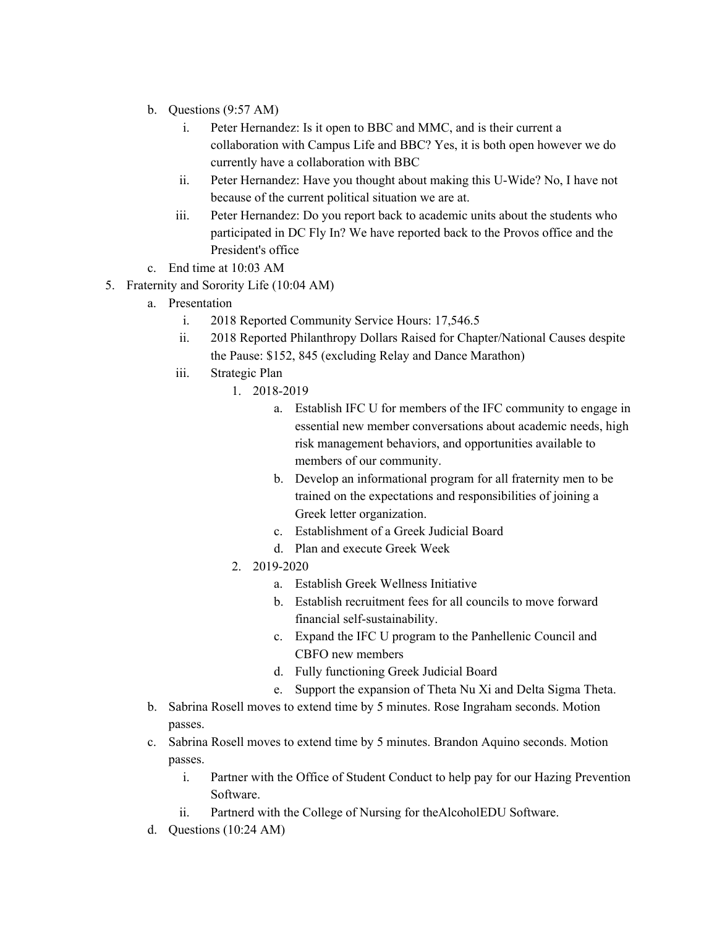- b. Questions (9:57 AM)
	- i. Peter Hernandez: Is it open to BBC and MMC, and is their current a collaboration with Campus Life and BBC? Yes, it is both open however we do currently have a collaboration with BBC
	- ii. Peter Hernandez: Have you thought about making this U-Wide? No, I have not because of the current political situation we are at.
	- iii. Peter Hernandez: Do you report back to academic units about the students who participated in DC Fly In? We have reported back to the Provos office and the President's office
- c. End time at 10:03 AM
- 5. Fraternity and Sorority Life (10:04 AM)
	- a. Presentation
		- i. 2018 Reported Community Service Hours: 17,546.5
		- ii. 2018 Reported Philanthropy Dollars Raised for Chapter/National Causes despite the Pause: \$152, 845 (excluding Relay and Dance Marathon)
		- iii. Strategic Plan
			- 1. 2018-2019
				- a. Establish IFC U for members of the IFC community to engage in essential new member conversations about academic needs, high risk management behaviors, and opportunities available to members of our community.
				- b. Develop an informational program for all fraternity men to be trained on the expectations and responsibilities of joining a Greek letter organization.
				- c. Establishment of a Greek Judicial Board
				- d. Plan and execute Greek Week
			- 2. 2019-2020
				- a. Establish Greek Wellness Initiative
				- b. Establish recruitment fees for all councils to move forward financial self-sustainability.
				- c. Expand the IFC U program to the Panhellenic Council and CBFO new members
				- d. Fully functioning Greek Judicial Board
				- e. Support the expansion of Theta Nu Xi and Delta Sigma Theta.
	- b. Sabrina Rosell moves to extend time by 5 minutes. Rose Ingraham seconds. Motion passes.
	- c. Sabrina Rosell moves to extend time by 5 minutes. Brandon Aquino seconds. Motion passes.
		- i. Partner with the Office of Student Conduct to help pay for our Hazing Prevention Software.
		- ii. Partnerd with the College of Nursing for theAlcoholEDU Software.
	- d. Questions (10:24 AM)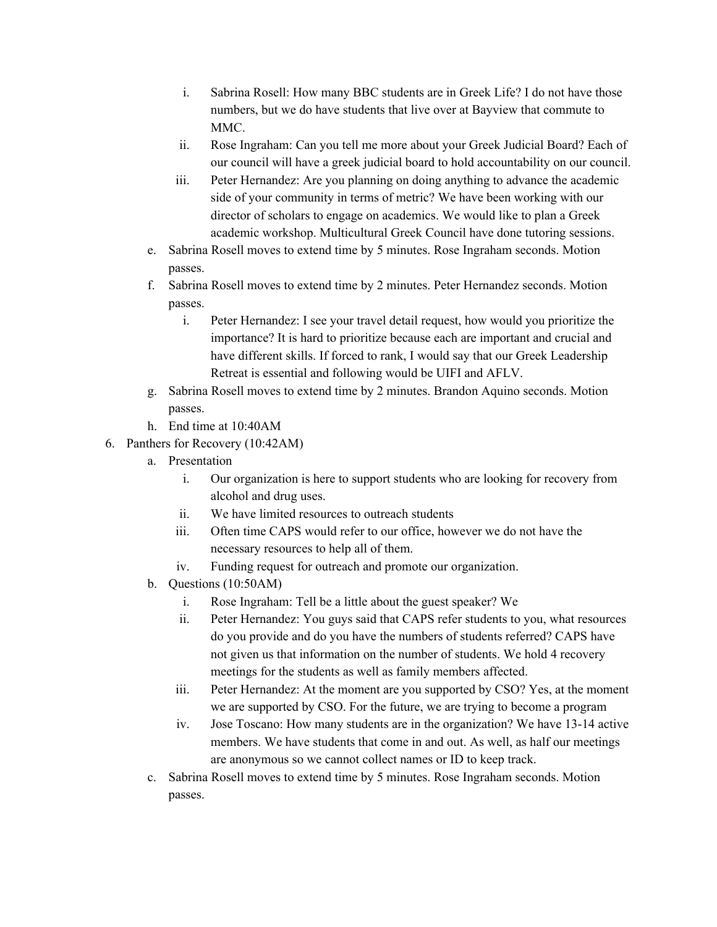- i. Sabrina Rosell: How many BBC students are in Greek Life? I do not have those numbers, but we do have students that live over at Bayview that commute to MMC.
- ii. Rose Ingraham: Can you tell me more about your Greek Judicial Board? Each of our council will have a greek judicial board to hold accountability on our council.
- iii. Peter Hernandez: Are you planning on doing anything to advance the academic side of your community in terms of metric? We have been working with our director of scholars to engage on academics. We would like to plan a Greek academic workshop. Multicultural Greek Council have done tutoring sessions.
- e. Sabrina Rosell moves to extend time by 5 minutes. Rose Ingraham seconds. Motion passes.
- f. Sabrina Rosell moves to extend time by 2 minutes. Peter Hernandez seconds. Motion passes.
	- i. Peter Hernandez: I see your travel detail request, how would you prioritize the importance? It is hard to prioritize because each are important and crucial and have different skills. If forced to rank, I would say that our Greek Leadership Retreat is essential and following would be UIFI and AFLV.
- g. Sabrina Rosell moves to extend time by 2 minutes. Brandon Aquino seconds. Motion passes.
- h. End time at 10:40AM
- 6. Panthers for Recovery (10:42AM)
	- a. Presentation
		- i. Our organization is here to support students who are looking for recovery from alcohol and drug uses.
		- ii. We have limited resources to outreach students
		- iii. Often time CAPS would refer to our office, however we do not have the necessary resources to help all of them.
		- iv. Funding request for outreach and promote our organization.
	- b. Questions (10:50AM)
		- i. Rose Ingraham: Tell be a little about the guest speaker? We
		- ii. Peter Hernandez: You guys said that CAPS refer students to you, what resources do you provide and do you have the numbers of students referred? CAPS have not given us that information on the number of students. We hold 4 recovery meetings for the students as well as family members affected.
		- iii. Peter Hernandez: At the moment are you supported by CSO? Yes, at the moment we are supported by CSO. For the future, we are trying to become a program
		- iv. Jose Toscano: How many students are in the organization? We have 13-14 active members. We have students that come in and out. As well, as half our meetings are anonymous so we cannot collect names or ID to keep track.
	- c. Sabrina Rosell moves to extend time by 5 minutes. Rose Ingraham seconds. Motion passes.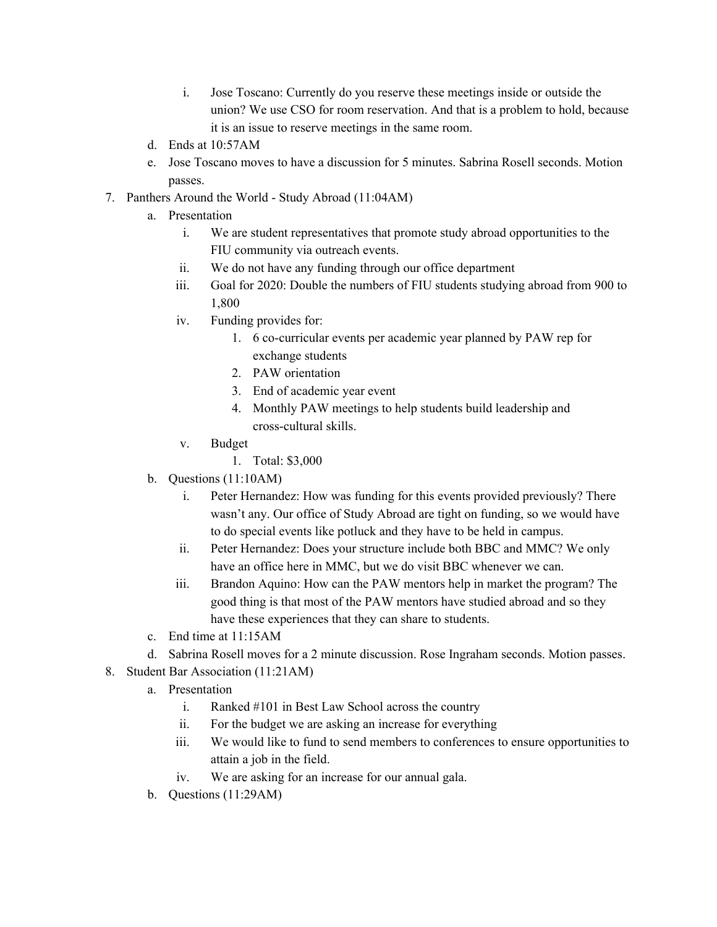- i. Jose Toscano: Currently do you reserve these meetings inside or outside the union? We use CSO for room reservation. And that is a problem to hold, because it is an issue to reserve meetings in the same room.
- d. Ends at 10:57AM
- e. Jose Toscano moves to have a discussion for 5 minutes. Sabrina Rosell seconds. Motion passes.
- 7. Panthers Around the World Study Abroad (11:04AM)
	- a. Presentation
		- i. We are student representatives that promote study abroad opportunities to the FIU community via outreach events.
		- ii. We do not have any funding through our office department
		- iii. Goal for 2020: Double the numbers of FIU students studying abroad from 900 to 1,800
		- iv. Funding provides for:
			- 1. 6 co-curricular events per academic year planned by PAW rep for exchange students
			- 2. PAW orientation
			- 3. End of academic year event
			- 4. Monthly PAW meetings to help students build leadership and cross-cultural skills.
		- v. Budget
			- 1. Total: \$3,000
	- b. Questions (11:10AM)
		- i. Peter Hernandez: How was funding for this events provided previously? There wasn't any. Our office of Study Abroad are tight on funding, so we would have to do special events like potluck and they have to be held in campus.
		- ii. Peter Hernandez: Does your structure include both BBC and MMC? We only have an office here in MMC, but we do visit BBC whenever we can.
		- iii. Brandon Aquino: How can the PAW mentors help in market the program? The good thing is that most of the PAW mentors have studied abroad and so they have these experiences that they can share to students.
	- c. End time at 11:15AM
	- d. Sabrina Rosell moves for a 2 minute discussion. Rose Ingraham seconds. Motion passes.
- 8. Student Bar Association (11:21AM)
	- a. Presentation
		- i. Ranked #101 in Best Law School across the country
		- ii. For the budget we are asking an increase for everything
		- iii. We would like to fund to send members to conferences to ensure opportunities to attain a job in the field.
		- iv. We are asking for an increase for our annual gala.
	- b. Questions (11:29AM)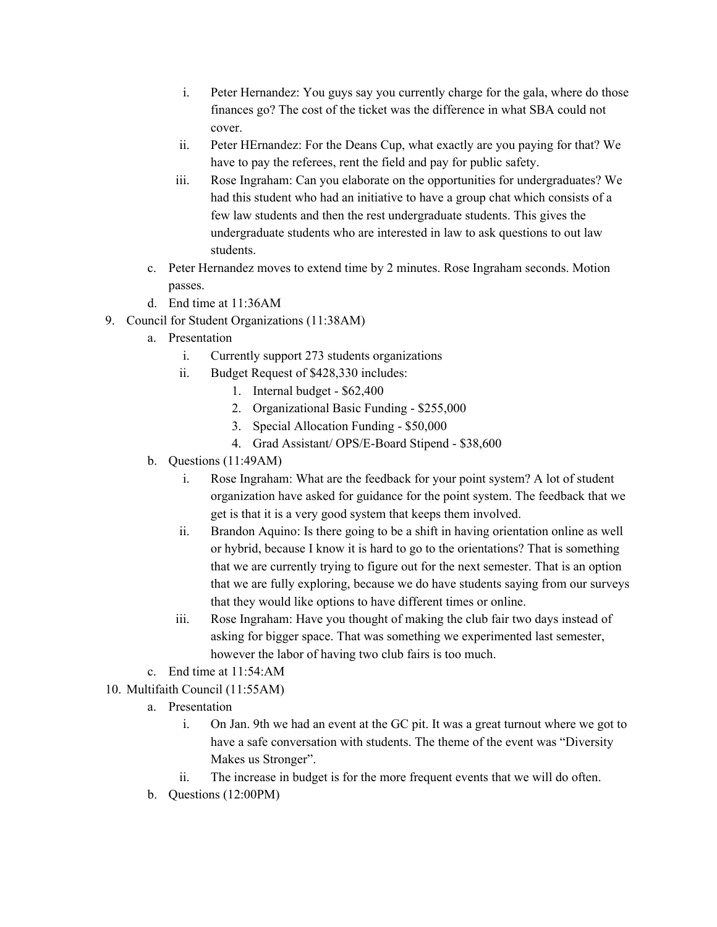- i. Peter Hernandez: You guys say you currently charge for the gala, where do those finances go? The cost of the ticket was the difference in what SBA could not cover.
- ii. Peter HErnandez: For the Deans Cup, what exactly are you paying for that? We have to pay the referees, rent the field and pay for public safety.
- iii. Rose Ingraham: Can you elaborate on the opportunities for undergraduates? We had this student who had an initiative to have a group chat which consists of a few law students and then the rest undergraduate students. This gives the undergraduate students who are interested in law to ask questions to out law students.
- c. Peter Hernandez moves to extend time by 2 minutes. Rose Ingraham seconds. Motion passes.
- d. End time at 11:36AM
- 9. Council for Student Organizations (11:38AM)
	- a. Presentation
		- i. Currently support 273 students organizations
		- ii. Budget Request of \$428,330 includes:
			- 1. Internal budget \$62,400
			- 2. Organizational Basic Funding \$255,000
			- 3. Special Allocation Funding \$50,000
			- 4. Grad Assistant/ OPS/E-Board Stipend \$38,600
	- b. Questions (11:49AM)
		- i. Rose Ingraham: What are the feedback for your point system? A lot of student organization have asked for guidance for the point system. The feedback that we get is that it is a very good system that keeps them involved.
		- ii. Brandon Aquino: Is there going to be a shift in having orientation online as well or hybrid, because I know it is hard to go to the orientations? That is something that we are currently trying to figure out for the next semester. That is an option that we are fully exploring, because we do have students saying from our surveys that they would like options to have different times or online.
		- iii. Rose Ingraham: Have you thought of making the club fair two days instead of asking for bigger space. That was something we experimented last semester, however the labor of having two club fairs is too much.
	- c. End time at 11:54:AM

10. Multifaith Council (11:55AM)

- a. Presentation
	- i. On Jan. 9th we had an event at the GC pit. It was a great turnout where we got to have a safe conversation with students. The theme of the event was "Diversity Makes us Stronger".
	- ii. The increase in budget is for the more frequent events that we will do often.
- b. Questions (12:00PM)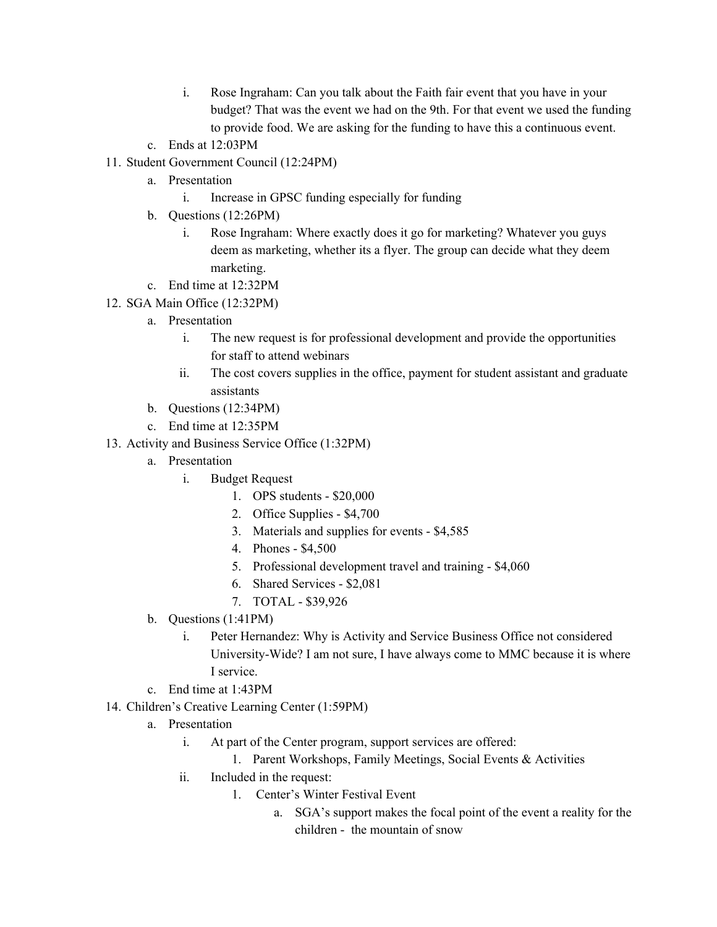- i. Rose Ingraham: Can you talk about the Faith fair event that you have in your budget? That was the event we had on the 9th. For that event we used the funding to provide food. We are asking for the funding to have this a continuous event.
- c. Ends at 12:03PM
- 11. Student Government Council (12:24PM)
	- a. Presentation
		- i. Increase in GPSC funding especially for funding
	- b. Questions (12:26PM)
		- i. Rose Ingraham: Where exactly does it go for marketing? Whatever you guys deem as marketing, whether its a flyer. The group can decide what they deem marketing.
	- c. End time at 12:32PM
- 12. SGA Main Office (12:32PM)
	- a. Presentation
		- i. The new request is for professional development and provide the opportunities for staff to attend webinars
		- ii. The cost covers supplies in the office, payment for student assistant and graduate assistants
	- b. Questions (12:34PM)
	- c. End time at 12:35PM
- 13. Activity and Business Service Office (1:32PM)
	- a. Presentation
		- i. Budget Request
			- 1. OPS students \$20,000
			- 2. Office Supplies \$4,700
			- 3. Materials and supplies for events \$4,585
			- 4. Phones \$4,500
			- 5. Professional development travel and training \$4,060
			- 6. Shared Services \$2,081
			- 7. TOTAL \$39,926
	- b. Questions (1:41PM)
		- i. Peter Hernandez: Why is Activity and Service Business Office not considered University-Wide? I am not sure, I have always come to MMC because it is where I service.
	- c. End time at 1:43PM
- 14. Children's Creative Learning Center (1:59PM)
	- a. Presentation
		- i. At part of the Center program, support services are offered:
			- 1. Parent Workshops, Family Meetings, Social Events & Activities
		- ii. Included in the request:
			- 1. Center's Winter Festival Event
				- a. SGA's support makes the focal point of the event a reality for the children - the mountain of snow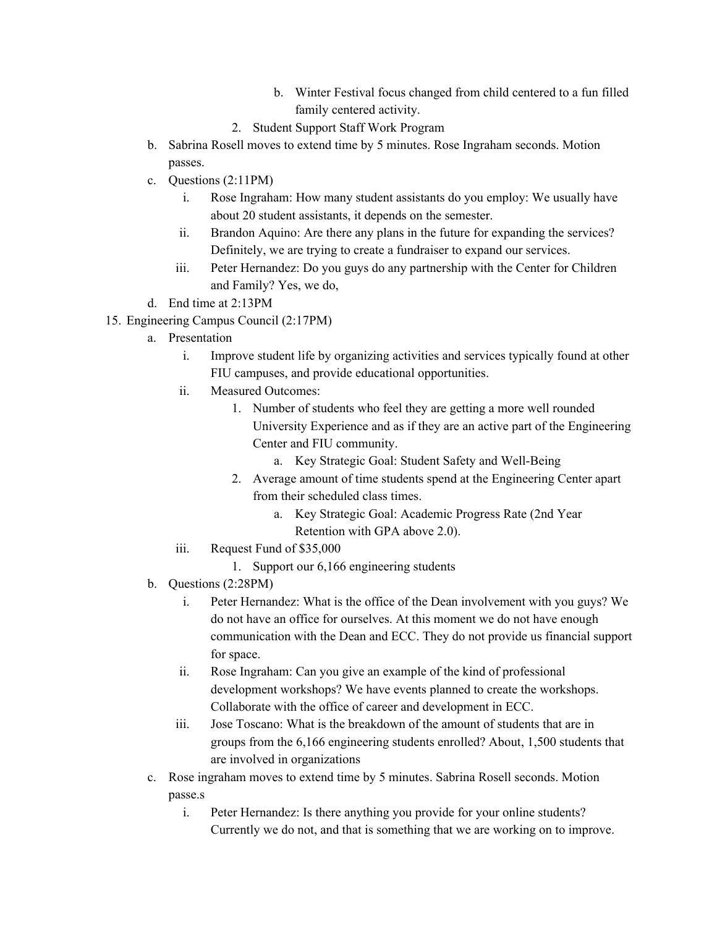- b. Winter Festival focus changed from child centered to a fun filled family centered activity.
- 2. Student Support Staff Work Program
- b. Sabrina Rosell moves to extend time by 5 minutes. Rose Ingraham seconds. Motion passes.
- c. Questions (2:11PM)
	- i. Rose Ingraham: How many student assistants do you employ: We usually have about 20 student assistants, it depends on the semester.
	- ii. Brandon Aquino: Are there any plans in the future for expanding the services? Definitely, we are trying to create a fundraiser to expand our services.
	- iii. Peter Hernandez: Do you guys do any partnership with the Center for Children and Family? Yes, we do,
- d. End time at 2:13PM
- 15. Engineering Campus Council (2:17PM)
	- a. Presentation
		- i. Improve student life by organizing activities and services typically found at other FIU campuses, and provide educational opportunities.
		- ii. Measured Outcomes:
			- 1. Number of students who feel they are getting a more well rounded University Experience and as if they are an active part of the Engineering Center and FIU community.
				- a. Key Strategic Goal: Student Safety and Well-Being
			- 2. Average amount of time students spend at the Engineering Center apart from their scheduled class times.
				- a. Key Strategic Goal: Academic Progress Rate (2nd Year Retention with GPA above 2.0).
		- iii. Request Fund of \$35,000
			- 1. Support our 6,166 engineering students
	- b. Questions (2:28PM)
		- i. Peter Hernandez: What is the office of the Dean involvement with you guys? We do not have an office for ourselves. At this moment we do not have enough communication with the Dean and ECC. They do not provide us financial support for space.
		- ii. Rose Ingraham: Can you give an example of the kind of professional development workshops? We have events planned to create the workshops. Collaborate with the office of career and development in ECC.
		- iii. Jose Toscano: What is the breakdown of the amount of students that are in groups from the 6,166 engineering students enrolled? About, 1,500 students that are involved in organizations
	- c. Rose ingraham moves to extend time by 5 minutes. Sabrina Rosell seconds. Motion passe.s
		- i. Peter Hernandez: Is there anything you provide for your online students? Currently we do not, and that is something that we are working on to improve.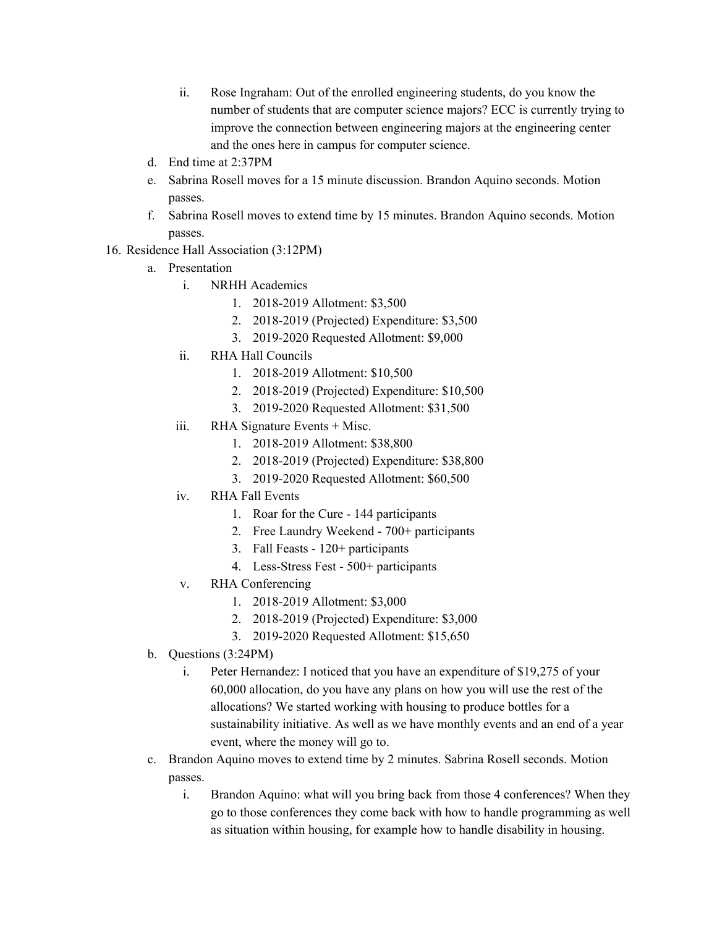- ii. Rose Ingraham: Out of the enrolled engineering students, do you know the number of students that are computer science majors? ECC is currently trying to improve the connection between engineering majors at the engineering center and the ones here in campus for computer science.
- d. End time at 2:37PM
- e. Sabrina Rosell moves for a 15 minute discussion. Brandon Aquino seconds. Motion passes.
- f. Sabrina Rosell moves to extend time by 15 minutes. Brandon Aquino seconds. Motion passes.
- 16. Residence Hall Association (3:12PM)
	- a. Presentation
		- i. NRHH Academics
			- 1. 2018-2019 Allotment: \$3,500
			- 2. 2018-2019 (Projected) Expenditure: \$3,500
			- 3. 2019-2020 Requested Allotment: \$9,000
		- ii. RHA Hall Councils
			- 1. 2018-2019 Allotment: \$10,500
			- 2. 2018-2019 (Projected) Expenditure: \$10,500
			- 3. 2019-2020 Requested Allotment: \$31,500
		- iii. RHA Signature Events + Misc.
			- 1. 2018-2019 Allotment: \$38,800
			- 2. 2018-2019 (Projected) Expenditure: \$38,800
			- 3. 2019-2020 Requested Allotment: \$60,500
		- iv. RHA Fall Events
			- 1. Roar for the Cure 144 participants
			- 2. Free Laundry Weekend 700+ participants
			- 3. Fall Feasts 120+ participants
			- 4. Less-Stress Fest 500+ participants
		- v. RHA Conferencing
			- 1. 2018-2019 Allotment: \$3,000
			- 2. 2018-2019 (Projected) Expenditure: \$3,000
			- 3. 2019-2020 Requested Allotment: \$15,650
	- b. Questions (3:24PM)
		- i. Peter Hernandez: I noticed that you have an expenditure of \$19,275 of your 60,000 allocation, do you have any plans on how you will use the rest of the allocations? We started working with housing to produce bottles for a sustainability initiative. As well as we have monthly events and an end of a year event, where the money will go to.
	- c. Brandon Aquino moves to extend time by 2 minutes. Sabrina Rosell seconds. Motion passes.
		- i. Brandon Aquino: what will you bring back from those 4 conferences? When they go to those conferences they come back with how to handle programming as well as situation within housing, for example how to handle disability in housing.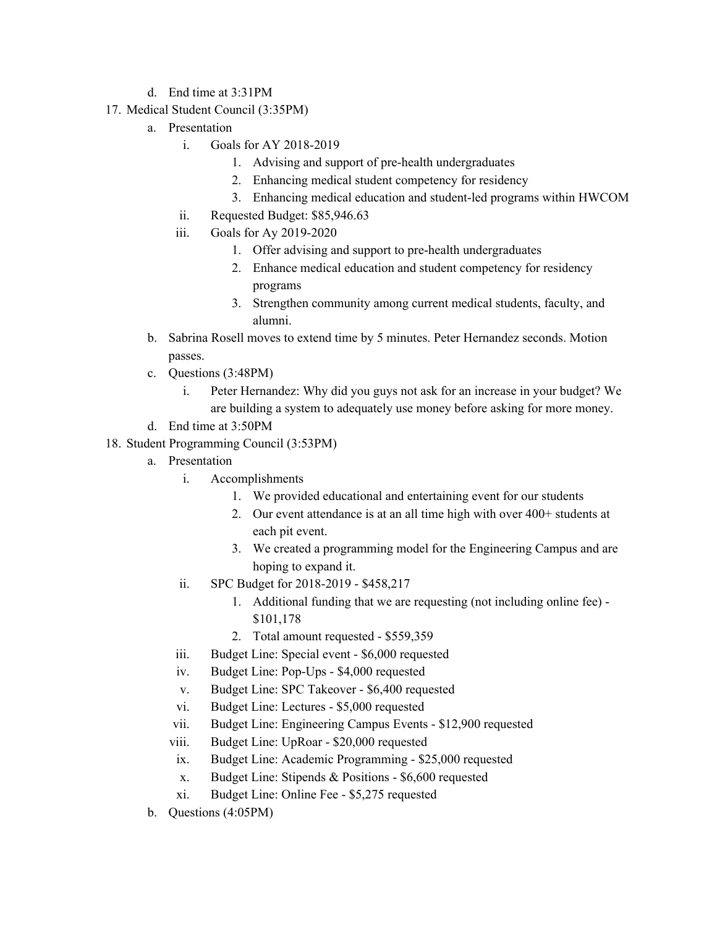- d. End time at 3:31PM
- 17. Medical Student Council (3:35PM)
	- a. Presentation
		- i. Goals for AY 2018-2019
			- 1. Advising and support of pre-health undergraduates
			- 2. Enhancing medical student competency for residency
			- 3. Enhancing medical education and student-led programs within HWCOM
		- ii. Requested Budget: \$85,946.63
		- iii. Goals for Ay 2019-2020
			- 1. Offer advising and support to pre-health undergraduates
			- 2. Enhance medical education and student competency for residency programs
			- 3. Strengthen community among current medical students, faculty, and alumni.
	- b. Sabrina Rosell moves to extend time by 5 minutes. Peter Hernandez seconds. Motion passes.
	- c. Questions (3:48PM)
		- i. Peter Hernandez: Why did you guys not ask for an increase in your budget? We are building a system to adequately use money before asking for more money.
	- d. End time at 3:50PM
- 18. Student Programming Council (3:53PM)
	- a. Presentation
		- i. Accomplishments
			- 1. We provided educational and entertaining event for our students
			- 2. Our event attendance is at an all time high with over 400+ students at each pit event.
			- 3. We created a programming model for the Engineering Campus and are hoping to expand it.
		- ii. SPC Budget for 2018-2019 \$458,217
			- 1. Additional funding that we are requesting (not including online fee) \$101,178
			- 2. Total amount requested \$559,359
		- iii. Budget Line: Special event \$6,000 requested
		- iv. Budget Line: Pop-Ups \$4,000 requested
		- v. Budget Line: SPC Takeover \$6,400 requested
		- vi. Budget Line: Lectures \$5,000 requested
		- vii. Budget Line: Engineering Campus Events \$12,900 requested
		- viii. Budget Line: UpRoar \$20,000 requested
		- ix. Budget Line: Academic Programming \$25,000 requested
		- x. Budget Line: Stipends & Positions \$6,600 requested
		- xi. Budget Line: Online Fee \$5,275 requested
	- b. Questions (4:05PM)